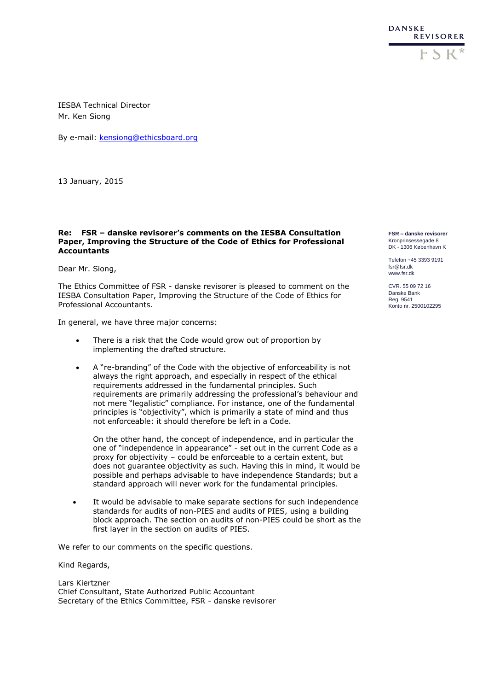

IESBA Technical Director Mr. Ken Siong

By e-mail: [kensiong@ethicsboard.org](mailto:kensiong@ethicsboard.org)

13 January, 2015

## **Re: FSR – danske revisorer's comments on the IESBA Consultation Paper, Improving the Structure of the Code of Ethics for Professional Accountants**

Dear Mr. Siong,

The Ethics Committee of FSR - danske revisorer is pleased to comment on the IESBA Consultation Paper, Improving the Structure of the Code of Ethics for Professional Accountants.

In general, we have three major concerns:

- There is a risk that the Code would grow out of proportion by implementing the drafted structure.
- A "re-branding" of the Code with the objective of enforceability is not always the right approach, and especially in respect of the ethical requirements addressed in the fundamental principles. Such requirements are primarily addressing the professional's behaviour and not mere "legalistic" compliance. For instance, one of the fundamental principles is "objectivity", which is primarily a state of mind and thus not enforceable: it should therefore be left in a Code.

On the other hand, the concept of independence, and in particular the one of "independence in appearance" - set out in the current Code as a proxy for objectivity – could be enforceable to a certain extent, but does not guarantee objectivity as such. Having this in mind, it would be possible and perhaps advisable to have independence Standards; but a standard approach will never work for the fundamental principles.

 It would be advisable to make separate sections for such independence standards for audits of non-PIES and audits of PIES, using a building block approach. The section on audits of non-PIES could be short as the first layer in the section on audits of PIES.

We refer to our comments on the specific questions.

Kind Regards,

Lars Kiertzner Chief Consultant, State Authorized Public Accountant Secretary of the Ethics Committee, FSR - danske revisorer **FSR – danske revisorer** Kronprinsessegade 8 DK - 1306 København K

Telefon +45 3393 9191 fsr@fsr.dk www.fsr.dk

CVR. 55 09 72 16 Danske Bank Reg. 9541 Konto nr. 2500102295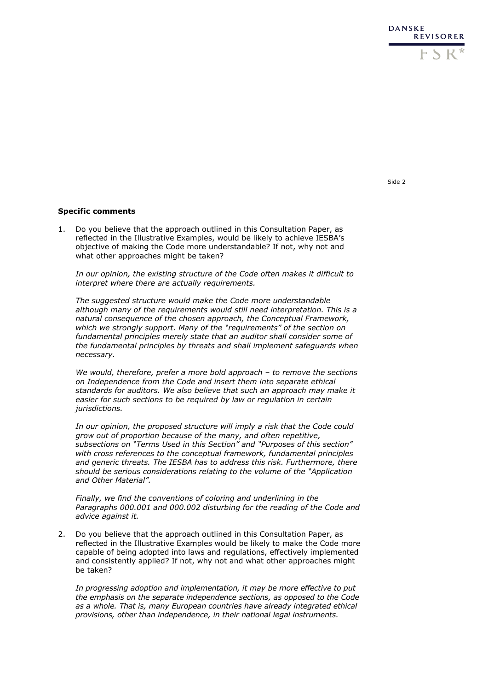

Side 2

## **Specific comments**

1. Do you believe that the approach outlined in this Consultation Paper, as reflected in the Illustrative Examples, would be likely to achieve IESBA's objective of making the Code more understandable? If not, why not and what other approaches might be taken?

*In our opinion, the existing structure of the Code often makes it difficult to interpret where there are actually requirements.* 

*The suggested structure would make the Code more understandable although many of the requirements would still need interpretation. This is a natural consequence of the chosen approach, the Conceptual Framework, which we strongly support. Many of the "requirements" of the section on fundamental principles merely state that an auditor shall consider some of the fundamental principles by threats and shall implement safeguards when necessary.* 

*We would, therefore, prefer a more bold approach – to remove the sections on Independence from the Code and insert them into separate ethical standards for auditors. We also believe that such an approach may make it easier for such sections to be required by law or regulation in certain jurisdictions.*

*In our opinion, the proposed structure will imply a risk that the Code could grow out of proportion because of the many, and often repetitive, subsections on "Terms Used in this Section" and "Purposes of this section" with cross references to the conceptual framework, fundamental principles and generic threats. The IESBA has to address this risk. Furthermore, there should be serious considerations relating to the volume of the "Application and Other Material".*

*Finally, we find the conventions of coloring and underlining in the Paragraphs 000.001 and 000.002 disturbing for the reading of the Code and advice against it.*

2. Do you believe that the approach outlined in this Consultation Paper, as reflected in the Illustrative Examples would be likely to make the Code more capable of being adopted into laws and regulations, effectively implemented and consistently applied? If not, why not and what other approaches might be taken?

*In progressing adoption and implementation, it may be more effective to put the emphasis on the separate independence sections, as opposed to the Code as a whole. That is, many European countries have already integrated ethical provisions, other than independence, in their national legal instruments.*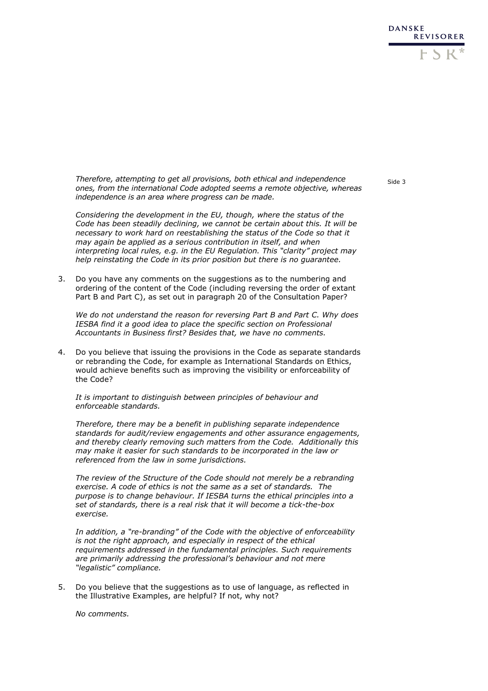

*Therefore, attempting to get all provisions, both ethical and independence ones, from the international Code adopted seems a remote objective, whereas independence is an area where progress can be made.*

*Considering the development in the EU, though, where the status of the Code has been steadily declining, we cannot be certain about this. It will be necessary to work hard on reestablishing the status of the Code so that it may again be applied as a serious contribution in itself, and when interpreting local rules, e.g. in the EU Regulation. This "clarity" project may help reinstating the Code in its prior position but there is no guarantee.*

3. Do you have any comments on the suggestions as to the numbering and ordering of the content of the Code (including reversing the order of extant Part B and Part C), as set out in paragraph 20 of the Consultation Paper?

*We do not understand the reason for reversing Part B and Part C. Why does IESBA find it a good idea to place the specific section on Professional Accountants in Business first? Besides that, we have no comments.*

4. Do you believe that issuing the provisions in the Code as separate standards or rebranding the Code, for example as International Standards on Ethics, would achieve benefits such as improving the visibility or enforceability of the Code?

*It is important to distinguish between principles of behaviour and enforceable standards.* 

*Therefore, there may be a benefit in publishing separate independence standards for audit/review engagements and other assurance engagements, and thereby clearly removing such matters from the Code. Additionally this may make it easier for such standards to be incorporated in the law or referenced from the law in some jurisdictions.*

*The review of the Structure of the Code should not merely be a rebranding exercise. A code of ethics is not the same as a set of standards. The purpose is to change behaviour. If IESBA turns the ethical principles into a set of standards, there is a real risk that it will become a tick-the-box exercise.* 

*In addition, a "re-branding" of the Code with the objective of enforceability is not the right approach, and especially in respect of the ethical requirements addressed in the fundamental principles. Such requirements are primarily addressing the professional's behaviour and not mere "legalistic" compliance.*

5. Do you believe that the suggestions as to use of language, as reflected in the Illustrative Examples, are helpful? If not, why not?

*No comments.*

Side 3